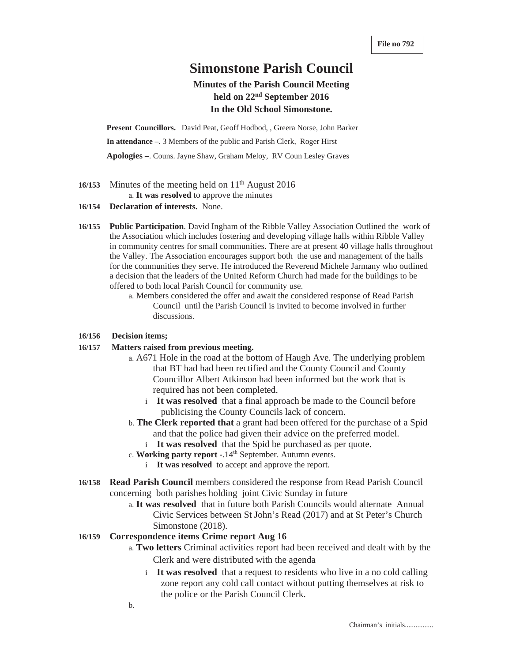# **Simonstone Parish Council**

# **Minutes of the Parish Council Meeting held on 22nd September 2016 In the Old School Simonstone.**

**Present Councillors.** David Peat, Geoff Hodbod, , Greera Norse, John Barker **In attendance** –. 3 Members of the public and Parish Clerk, Roger Hirst **Apologies –**. Couns. Jayne Shaw, Graham Meloy, RV Coun Lesley Graves

- 16/153 Minutes of the meeting held on 11<sup>th</sup> August 2016 a. **It was resolved** to approve the minutes
- **16/154 Declaration of interests.** None.
- **16/155 Public Participation**. David Ingham of the Ribble Valley Association Outlined the work of the Association which includes fostering and developing village halls within Ribble Valley in community centres for small communities. There are at present 40 village halls throughout the Valley. The Association encourages support both the use and management of the halls for the communities they serve. He introduced the Reverend Michele Jarmany who outlined a decision that the leaders of the United Reform Church had made for the buildings to be offered to both local Parish Council for community use.
	- a. Members considered the offer and await the considered response of Read Parish Council until the Parish Council is invited to become involved in further discussions.

# **16/156 Decision items;**

# **16/157 Matters raised from previous meeting.**

- a. A671 Hole in the road at the bottom of Haugh Ave. The underlying problem that BT had had been rectified and the County Council and County Councillor Albert Atkinson had been informed but the work that is required has not been completed.
	- i **It was resolved** that a final approach be made to the Council before publicising the County Councils lack of concern.
- b. **The Clerk reported that** a grant had been offered for the purchase of a Spid and that the police had given their advice on the preferred model.
	- i **It was resolved** that the Spid be purchased as per quote.
- c. Working party report -.14<sup>th</sup> September. Autumn events.
	- i **It was resolved** to accept and approve the report.
- **16/158 Read Parish Council** members considered the response from Read Parish Council concerning both parishes holding joint Civic Sunday in future
	- a. **It was resolved** that in future both Parish Councils would alternate Annual Civic Services between St John's Read (2017) and at St Peter's Church Simonstone (2018).

# **16/159 Correspondence items Crime report Aug 16**

- a. **Two letters** Criminal activities report had been received and dealt with by the Clerk and were distributed with the agenda
	- i **It was resolved** that a request to residents who live in a no cold calling zone report any cold call contact without putting themselves at risk to the police or the Parish Council Clerk.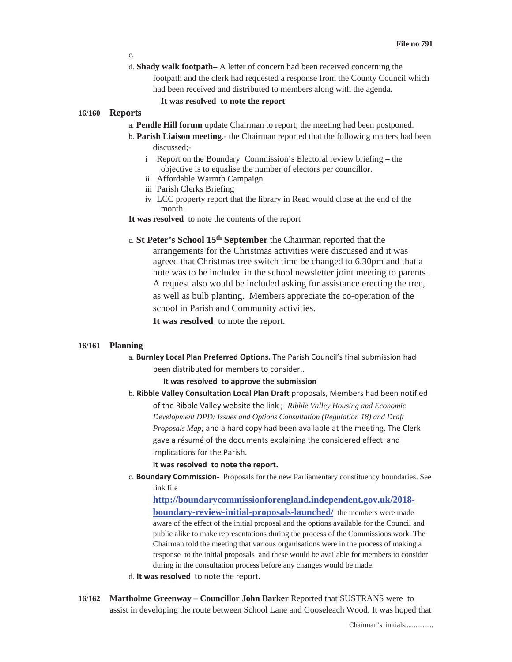#### c.

d. **Shady walk footpath**– A letter of concern had been received concerning the footpath and the clerk had requested a response from the County Council which had been received and distributed to members along with the agenda.

# **It was resolved to note the report**

#### **16/160 Reports**

- a. **Pendle Hill forum** update Chairman to report; the meeting had been postponed.
- b. **Parish Liaison meeting**.- the Chairman reported that the following matters had been discussed;
	- i Report on the Boundary Commission's Electoral review briefing the objective is to equalise the number of electors per councillor.
	- ii Affordable Warmth Campaign
	- iii Parish Clerks Briefing
	- iv LCC property report that the library in Read would close at the end of the month.
- **It was resolved** to note the contents of the report
- c. **St Peter's School 15th September** the Chairman reported that the arrangements for the Christmas activities were discussed and it was agreed that Christmas tree switch time be changed to 6.30pm and that a note was to be included in the school newsletter joint meeting to parents . A request also would be included asking for assistance erecting the tree, as well as bulb planting. Members appreciate the co-operation of the school in Parish and Community activities.

**It was resolved** to note the report.

#### **16/161 Planning**

a. **Burnley Local Plan Preferred Options. T**he Parish Council's final submission had been distributed for members to consider..

## **It was resolvedto approve the submission**

b. **Ribble Valley Consultation Local Plan Draft** proposals, Members had been notified of the Ribble Valley website the link *;- Ribble Valley Housing and Economic Development DPD: Issues and Options Consultation (Regulation 18) and Draft Proposals Map;* and a hard copy had been available at the meeting. The Clerk gave a résumé of the documents explaining the considered effect and implications for the Parish.

#### **It was resolvedto note the report.**

c. **Boundary Commission**- Proposals for the new Parliamentary constituency boundaries. See link file

**http://boundarycommissionforengland.independent.gov.uk/2018 boundary-review-initial-proposals-launched/** the members were made aware of the effect of the initial proposal and the options available for the Council and public alike to make representations during the process of the Commissions work. The Chairman told the meeting that various organisations were in the process of making a response to the initial proposals and these would be available for members to consider during in the consultation process before any changes would be made.

- d. It was resolved to note the report.
- **16/162 Martholme Greenway Councillor John Barker** Reported that SUSTRANS were to assist in developing the route between School Lane and Gooseleach Wood. It was hoped that